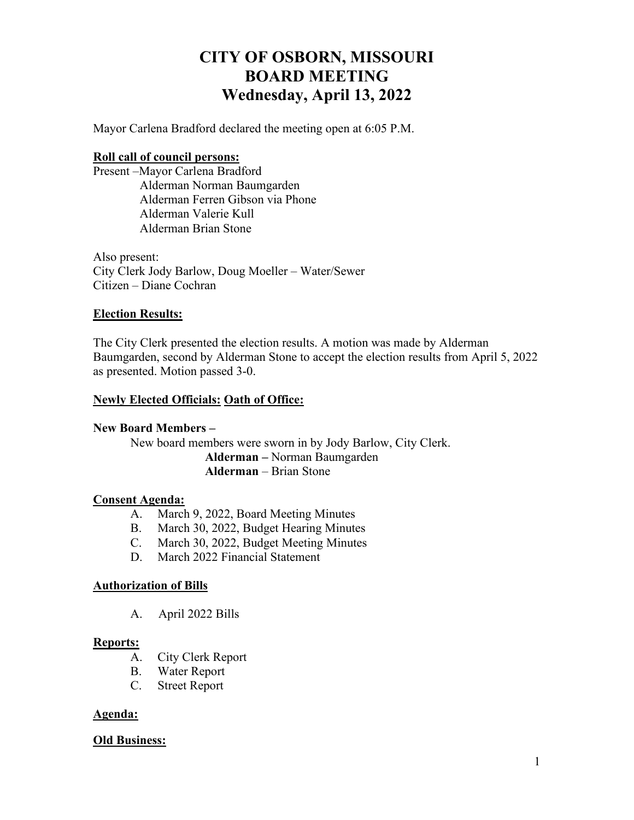# **CITY OF OSBORN, MISSOURI BOARD MEETING Wednesday, April 13, 2022**

Mayor Carlena Bradford declared the meeting open at 6:05 P.M.

## **Roll call of council persons:**

Present –Mayor Carlena Bradford Alderman Norman Baumgarden Alderman Ferren Gibson via Phone Alderman Valerie Kull Alderman Brian Stone

Also present: City Clerk Jody Barlow, Doug Moeller – Water/Sewer Citizen – Diane Cochran

## **Election Results:**

The City Clerk presented the election results. A motion was made by Alderman Baumgarden, second by Alderman Stone to accept the election results from April 5, 2022 as presented. Motion passed 3-0.

## **Newly Elected Officials: Oath of Office:**

#### **New Board Members –**

New board members were sworn in by Jody Barlow, City Clerk. **Alderman –** Norman Baumgarden **Alderman** – Brian Stone

#### **Consent Agenda:**

- A. March 9, 2022, Board Meeting Minutes
- B. March 30, 2022, Budget Hearing Minutes
- C. March 30, 2022, Budget Meeting Minutes
- D. March 2022 Financial Statement

#### **Authorization of Bills**

A. April 2022 Bills

#### **Reports:**

- A. City Clerk Report
- B. Water Report
- C. Street Report

#### **Agenda:**

#### **Old Business:**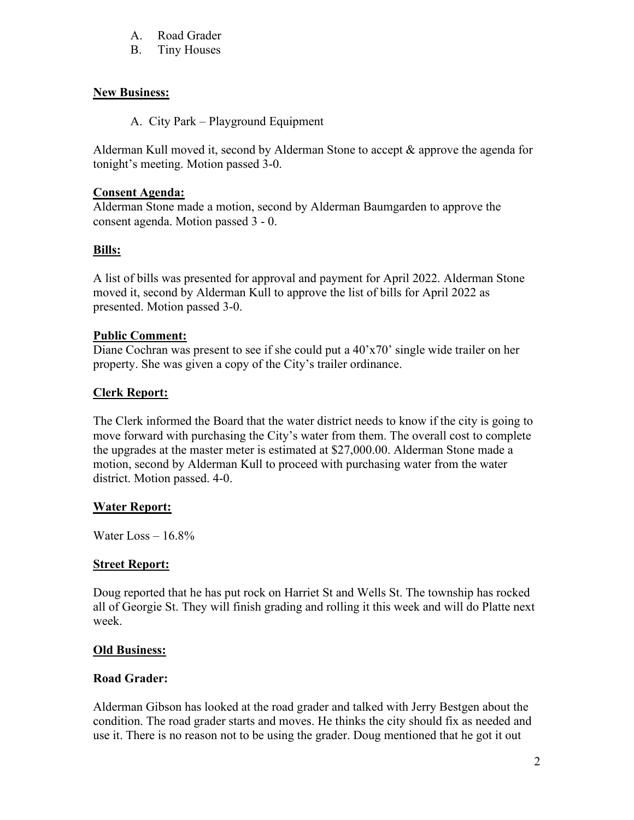- A. Road Grader
- B. Tiny Houses

## **New Business:**

A. City Park – Playground Equipment

Alderman Kull moved it, second by Alderman Stone to accept & approve the agenda for tonight's meeting. Motion passed 3-0.

## **Consent Agenda:**

Alderman Stone made a motion, second by Alderman Baumgarden to approve the consent agenda. Motion passed 3 - 0.

# **Bills:**

A list of bills was presented for approval and payment for April 2022. Alderman Stone moved it, second by Alderman Kull to approve the list of bills for April 2022 as presented. Motion passed 3-0.

## **Public Comment:**

Diane Cochran was present to see if she could put a 40'x70' single wide trailer on her property. She was given a copy of the City's trailer ordinance.

# **Clerk Report:**

The Clerk informed the Board that the water district needs to know if the city is going to move forward with purchasing the City's water from them. The overall cost to complete the upgrades at the master meter is estimated at \$27,000.00. Alderman Stone made a motion, second by Alderman Kull to proceed with purchasing water from the water district. Motion passed. 4-0.

# **Water Report:**

Water Loss – 16.8%

#### **Street Report:**

Doug reported that he has put rock on Harriet St and Wells St. The township has rocked all of Georgie St. They will finish grading and rolling it this week and will do Platte next week.

# **Old Business:**

# **Road Grader:**

Alderman Gibson has looked at the road grader and talked with Jerry Bestgen about the condition. The road grader starts and moves. He thinks the city should fix as needed and use it. There is no reason not to be using the grader. Doug mentioned that he got it out